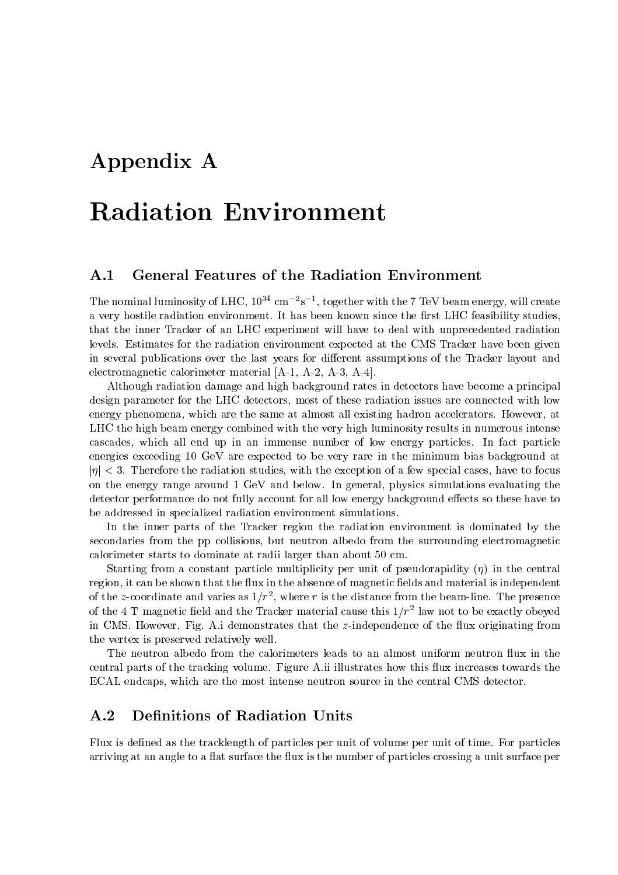# Appendix A

# Radiation Environment

# A.1 General Features of the Radiation Environment

The nominal luminosity of LHC,  $10^{\circ}$  cm  $^{-}$ s  $^{-}$ , together with the 7 TeV beam energy, will create a very hostile radiation environment. It has been known since the first LHC feasibility studies, that the inner Tracker of an LHC experiment will have to deal with unprecedented radiation levels. Estimates for the radiation environment expected atthe CMS Tracker have been given in several publications over the last years for different assumptions of the Tracker layout and electromagnetic calorimeter material [A-1, A-2, A-3, A-4].

Although radiation damage and high background rates in detectors have become a principal design parameter for the LHC detectors, most of these radiation issues are connected with low energy phenomena, which are the same at almost all existing hadron accelerators. However, at LHC the high beam energy combined with the very high luminosity results in numerous intense cascades, which all end up in an immense number of low energy particles. In fact particle energies exceeding 10 GeV are expected to be very rare in the minimum bias background at  $|\eta|$  < 3. Therefore the radiation studies, with the exception of a few special cases, have to focus on the energy range around 1 GeV and below. In general, physics simulations evaluating the detector performance do not fully account for all low energy background effects so these have to be addressed in specialized radiation environment simulations.

In the inner parts of the Tracker region the radiation environment is dominated by the secondaries from the pp collisions, but neutron albedo from the surrounding electromagnetic calorimeter starts to dominate at radii larger than about 50 cm.

Starting from a constant particle multiplicity per unit of pseudorapidity  $(\eta)$  in the central region, it can be shown that the flux in the absence of magnetic fields and material is independent of the z-coordinate and varies as  $1/T$  , where  $r$  is the distance from the beam-line. The presence of the 4–1 magnetic field and the Tracker material cause this 1/7° law not to be exactly obeyed in CMS. However, Fig. A.i demonstrates that the z-independence of the flux originating from the vertex is preserved relatively well.

The neutron albedo from the calorimeters leads to an almost uniform neutron flux in the central parts of the tracking volume. Figure A.ii illustrates how this flux increases towards the ECAL endcaps, which are the most intense neutron source in the central CMS detector.

# A.2 Definitions of Radiation Units

Flux is defined as the tracklength of particles per unit of volume per unit of time. For particles arriving at an angle to a flat surface the flux is the number of particles crossing a unit surface per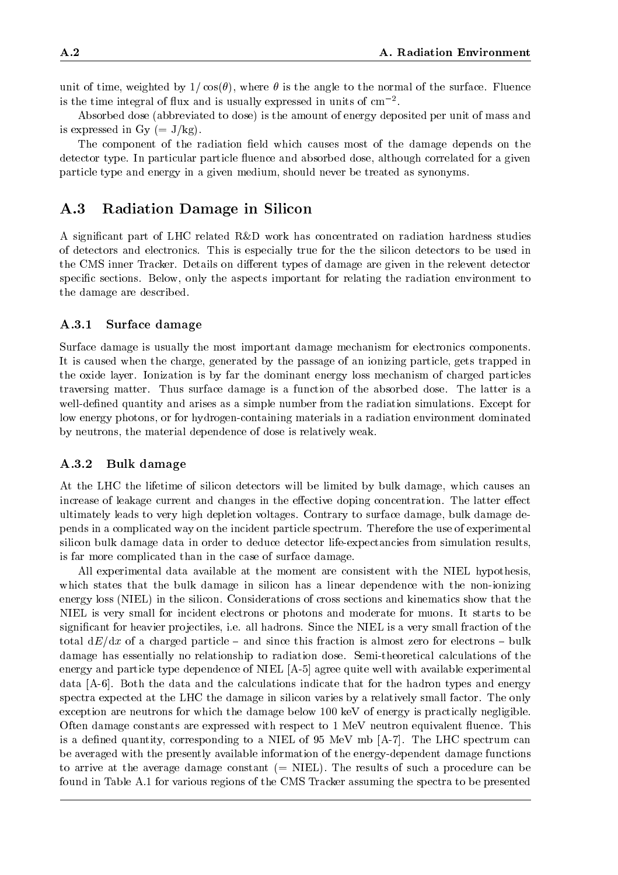unit of time, weighted by  $1/\cos(\theta)$ , where  $\theta$  is the angle to the normal of the surface. Fluence is the time integral of flux and is usually expressed in units of  $cm^{-2}$ .

Absorbed dose (abbreviated to dose) is the amount of energy deposited per unit of mass and is expressed in Gy  $(= J/kg)$ .

The component of the radiation field which causes most of the damage depends on the detector type. In particular particle fluence and absorbed dose, although correlated for a given particle type and energy in a given medium, should never be treated as synonyms.

# A.3 Radiation Damage in Silicon

A signicant part of LHC related R&D work has concentrated on radiation hardness studies of detectors and electronics. This is especially true for the the silicon detectors to be used in the CMS inner Tracker. Details on different types of damage are given in the relevent detector specific sections. Below, only the aspects important for relating the radiation environment to the damage are described.

### A.3.1 Surface damage

Surface damage is usually the most important damage mechanism for electronics components. It is caused when the charge, generated by the passage of an ionizing particle, gets trapped in the oxide layer. Ionization is by far the dominant energy loss mechanism of charged particles traversing matter. Thus surface damage is a function of the absorbed dose. The latter is a well-defined quantity and arises as a simple number from the radiation simulations. Except for low energy photons, or for hydrogen-containing materials in a radiation environment dominated by neutrons, the material dependence of dose is relatively weak.

### A.3.2 Bulk damage

At the LHC the lifetime of silicon detectors will be limited by bulk damage, which causes an increase of leakage current and changes in the effective doping concentration. The latter effect ultimately leads to very high depletion voltages. Contrary to surface damage, bulk damage depends in a complicated way on the incident particle spectrum. Therefore the use of experimental silicon bulk damage data in order to deduce detector life-expectancies from simulation results, is far more complicated than in the case of surface damage.

All experimental data available at the moment are consistent with the NIEL hypothesis, which states that the bulk damage in silicon has a linear dependence with the non-ionizing energy loss (NIEL) in the silicon. Considerations of cross sections and kinematics show that the NIEL is very small for incident electrons or photons and moderate for muons. It starts to be significant for heavier projectiles, i.e. all hadrons. Since the NIEL is a very small fraction of the total  $dE/dx$  of a charged particle – and since this fraction is almost zero for electrons – bulk damage has essentially no relationship to radiation dose. Semi-theoretical calculations of the energy and particle type dependence of NIEL [A-5] agree quite well with available experimental data [A-6]. Both the data and the calculations indicate that for the hadron types and energy spectra expected at the LHC the damage in silicon varies by a relatively small factor. The only exception are neutrons for which the damage below 100 keV of energy is practically negligible. Often damage constants are expressed with respect to 1 MeV neutron equivalent fluence. This is a defined quantity, corresponding to a NIEL of  $95 \text{ MeV}$  mb [A-7]. The LHC spectrum can be averaged with the presently available information of the energy-dependent damage functions to arrive at the average damage constant  $(= \text{NIEL})$ . The results of such a procedure can be found in Table A.1 for various regions of the CMS Tracker assuming the spectra to be presented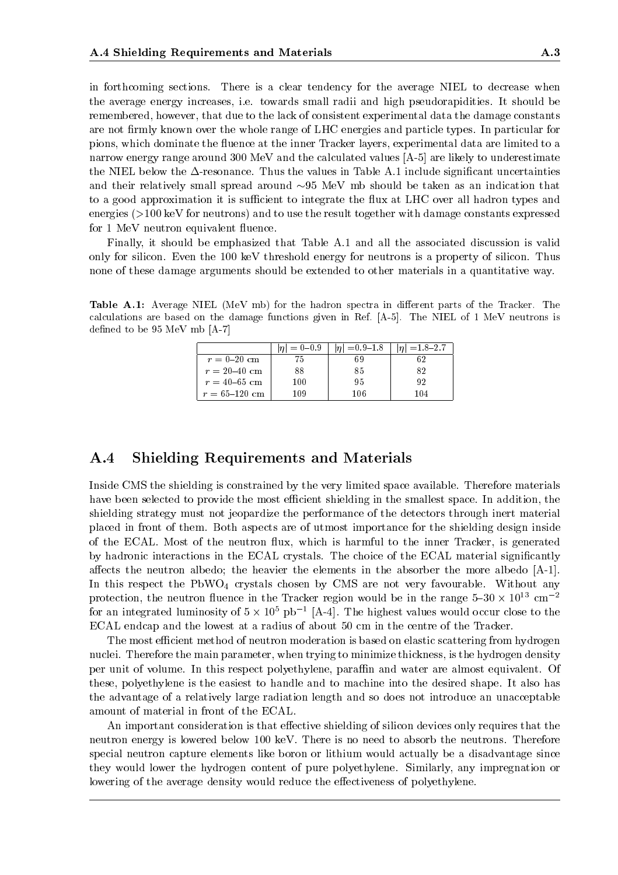in forthcoming sections. There is a clear tendency for the average NIEL to decrease when the average energy increases, i.e. towards small radii and high pseudorapidities. It should be remembered, however, that due to the lack of consistent experimental data the damage constants are not firmly known over the whole range of LHC energies and particle types. In particular for pions, which dominate the fluence at the inner Tracker layers, experimental data are limited to a narrow energy range around 300 MeV and the calculated values [A-5] are likely to underestimate the NIEL below the  $\Delta$ -resonance. Thus the values in Table A.1 include significant uncertainties and their relatively small spread around  $\sim 95$  MeV mb should be taken as an indication that to a good approximation it is sufficient to integrate the flux at LHC over all hadron types and energies (>100 keV for neutrons) and to use the result together with damage constants expressed for 1 MeV neutron equivalent fluence.

Finally, it should be emphasized that Table A.1 and all the associated discussion is valid only for silicon. Even the 100 keV threshold energy for neutrons is a property of silicon. Thus none of these damage arguments should be extended to other materials in a quantitative way.

Table A.1: Average NIEL (MeV mb) for the hadron spectra in different parts of the Tracker. The calculations are based on the damage functions given in Ref. [A-5]. The NIEL of 1 MeV neutrons is defined to be  $95 \text{ MeV}$  mb [A-7]

|                   | $ \eta  = 0-0.9$ | $ \eta  = 0.9 - 1.8$ | $ \eta  = 1.8 - 2.7$ |
|-------------------|------------------|----------------------|----------------------|
| $r = 0-20$ cm     |                  |                      |                      |
| $r = 20 - 40$ cm  | 88               | 85                   | 82                   |
| $r = 40 - 65$ cm  | 100              | 95                   | 92                   |
| $r = 65 - 120$ cm | 109              | 106                  | 104                  |

#### **Shielding Requirements and Materials**  $A.4$

Inside CMS the shielding is constrained by the very limited space available. Therefore materials have been selected to provide the most efficient shielding in the smallest space. In addition, the shielding strategy must not jeopardize the performance of the detectors through inert material placed in front of them. Both aspects are of utmost importance for the shielding design inside of the ECAL. Most of the neutron flux, which is harmful to the inner Tracker, is generated by hadronic interactions in the ECAL crystals. The choice of the ECAL material significantly affects the neutron albedo; the heavier the elements in the absorber the more albedo  $[A-1]$ . In this respect the  $PbWO_4$  crystals chosen by CMS are not very favourable. Without any protection, the neutron fluence in the Tracker region would be in the range  $5{\text -}30$   $\times$  10  $^{\circ}$  cm  $^{-2}$ for an integrated luminosity of 5  $\times$  10° pb  $^+$  [A-4]. The highest values would occur close to the ECAL endcap and the lowest at a radius of about 50 cm in the centre of the Tracker.

The most efficient method of neutron moderation is based on elastic scattering from hydrogen nuclei. Therefore the main parameter, when trying to minimize thickness, is the hydrogen density per unit of volume. In this respect polyethylene, paraffin and water are almost equivalent. Of these, polyethylene is the easiest to handle and to machine into the desired shape. It also has the advantage of a relatively large radiation length and so does not introduce an unacceptable amount of material in front of the ECAL.

An important consideration is that effective shielding of silicon devices only requires that the neutron energy islowered below 100 keV. There is no need to absorb the neutrons. Therefore special neutron capture elements like boron or lithium would actually be a disadvantage since they would lower the hydrogen content of pure polyethylene. Similarly, any impregnation or lowering of the average density would reduce the effectiveness of polyethylene.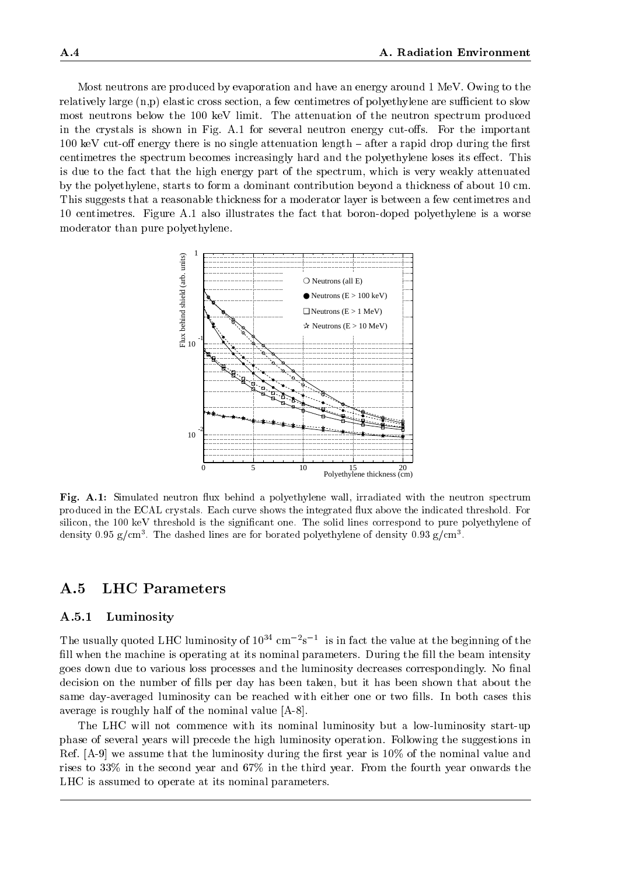Most neutrons are produced by evaporation and have an energy around 1 MeV. Owing to the relatively large  $(n,p)$  elastic cross section, a few centimetres of polyethylene are sufficient to slow most neutrons below the 100 keV limit. The attenuation of the neutron spectrum produced in the crystals is shown in Fig.  $A.1$  for several neutron energy cut-offs. For the important 100 keV cut-off energy there is no single attenuation length  $-$  after a rapid drop during the first centimetres the spectrum becomes increasingly hard and the polyethylene loses its effect. This is due to the fact that the high energy part of the spectrum, which is very weakly attenuated by the polyethylene, starts to form a dominant contribution beyond a thickness of about 10 cm. This suggests that a reasonable thickness for a moderator layer is between a few centimetres and 10 centimetres. Figure A.1 also illustrates the fact that boron-doped polyethylene is a worse moderator than pure polyethylene.



Fig. A.1: Simulated neutron flux behind a polyethylene wall, irradiated with the neutron spectrum produced in the ECAL crystals. Each curve shows the integrated flux above the indicated threshold. For silicon, the 100 keV threshold is the signicant one. The solid lines correspond to pure polyethylene of density  $0.95\ \mathrm{g/cm3}$  . The dashed lines are for borated polyethylene of density  $0.93\ \mathrm{g/cm3}$ 

#### $A.5$ LHC Parameters

## A.5.1 Luminosity

The usually quoted LHC luminosity of  $10^{34}$  cm  $^{-2}$ s  $^{-1}$  is in fact the value at the beginning of the  $^{-1}$ fill when the machine is operating at its nominal parameters. During the fill the beam intensity goes down due to various loss processes and the luminosity decreases correspondingly. No final decision on the number of fills per day has been taken, but it has been shown that about the same day-averaged luminosity can be reached with either one or two fills. In both cases this average is roughly half of the nominal value [A-8].

The LHC will not commence with its nominal luminosity but a low-luminosity start-up phase of several years will precede the high luminosity operation. Following the suggestions in Ref.  $[A-9]$  we assume that the luminosity during the first year is 10% of the nominal value and rises to 33% in the second year and 67% in the third year. From the fourth year onwards the LHC is assumed to operate at its nominal parameters.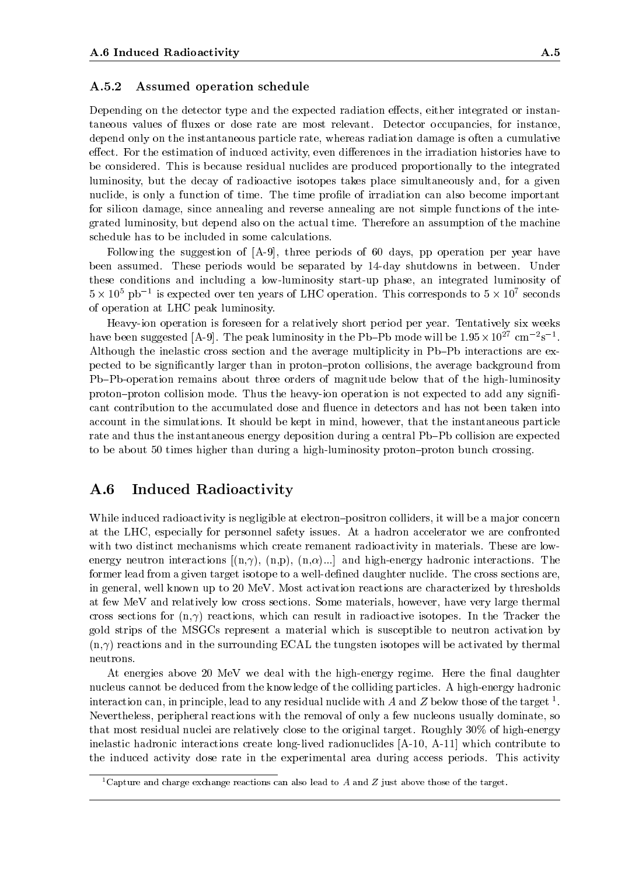#### A.5.2 Assumed operation schedule

Depending on the detector type and the expected radiation effects, either integrated or instantaneous values of fluxes or dose rate are most relevant. Detector occupancies, for instance, depend only on the instantaneous particle rate, whereas radiation damage is often a cumulative effect. For the estimation of induced activity, even differences in the irradiation histories have to be considered. This is because residual nuclides are produced proportionally to the integrated luminosity, but the decay of radioactive isotopes takes place simultaneously and, for a given nuclide, is only a function of time. The time profile of irradiation can also become important for silicon damage, since annealing and reverse annealing are not simple functions of the integrated luminosity, but depend also on the actual time. Therefore an assumption of the machine schedule has to be included in some calculations.

Following the suggestion of [A-9], three periods of 60 days, pp operation per year have been assumed. These periods would be separated by 14-day shutdowns in between. Under these conditions and including a low-luminosity start-up phase, an integrated luminosity of 5  $\times$  10° pp  $^{-1}$  is expected over ten years of LHC operation. This corresponds to 5  $\times$  10′ seconds of operation at LHC peak luminosity.

Heavy-ion operation is foreseen for a relatively short period per year. Tentatively six weeks have been suggested  $[A-9]$ . The peak luminosity in the PD-PD mode will be 1.95 $\times$  10 $^\circ$  cm  $^-$ s  $^+$ . Although the inelastic cross section and the average multiplicity in Pb-Pb interactions are expected to be signicantly larger than in proton{proton collisions, the average background from Pb-Pb-operation remains about three orders of magnitude below that of the high-luminosity proton-proton collision mode. Thus the heavy-ion operation is not expected to add any significant contribution to the accumulated dose and 
uence in detectors and has not been taken into account in the simulations. It should be kept in mind, however, that the instantaneous particle rate and thus the instantaneous energy deposition during a central Pb-Pb collision are expected to be about 50 times higher than during a high-luminosity proton-proton bunch crossing.

#### $\bf A.6$ Induced Radioactivity

While induced radioactivity is negligible at electron-positron colliders, it will be a major concern at the LHC, especially for personnel safety issues. At a hadron accelerator we are confronted with two distinct mechanisms which create remanent radioactivity in materials. These are lowenergy neutron interactions  $[(n,\gamma), (n,p), (n,\alpha)...]$  and high-energy hadronic interactions. The former lead from a given target isotope to a well-defined daughter nuclide. The cross sections are, in general, well known up to 20 MeV. Most activation reactions are characterized by thresholds at few MeV and relatively low cross sections. Some materials, however, have very large thermal cross sections for  $(n, \gamma)$  reactions, which can result in radioactive isotopes. In the Tracker the gold strips of the MSGCs represent a material which is susceptible to neutron activation by  $(n,\gamma)$  reactions and in the surrounding ECAL the tungsten isotopes will be activated by thermal neutrons.

At energies above 20 MeV we deal with the high-energy regime. Here the final daughter nucleus cannot be deduced from the knowledge of the colliding particles. A high-energy hadronic interaction can, in principle, lead to any residual nuclide with A and Z below those of the target  $<sup>1</sup>$ .</sup> Nevertheless, peripheral reactions with the removal of only a few nucleons usually dominate, so that most residual nuclei are relatively close to the original target. Roughly 30% of high-energy inelastic hadronic interactions create long-lived radionuclides [A-10, A-11] which contribute to the induced activity dose rate in the experimental area during access periods. This activity

<sup>&</sup>lt;sup>1</sup>Capture and charge exchange reactions can also lead to A and Z just above those of the target.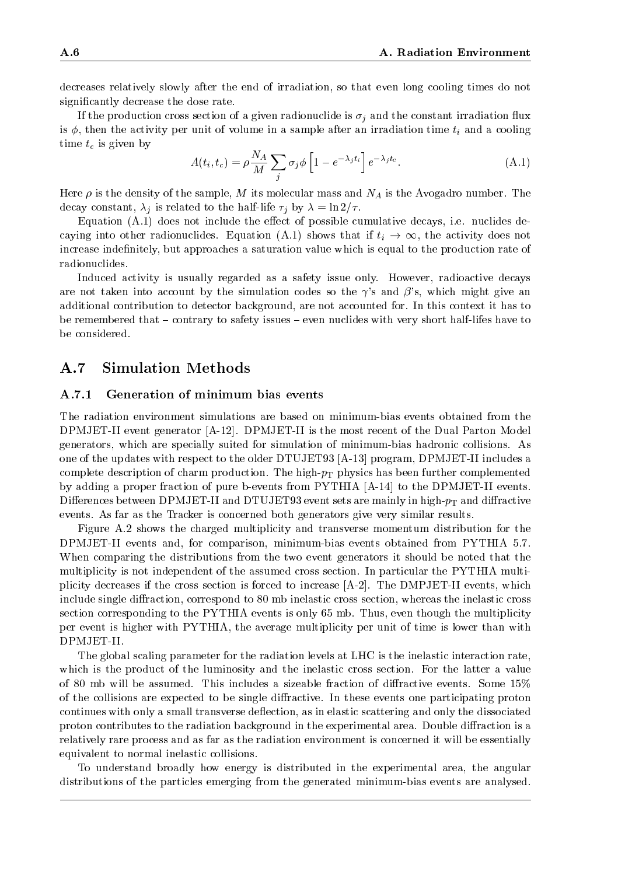decreases relatively slowly after the end of irradiation, so that even long cooling times do not signicantly decrease the dose rate.

If the production cross section of a given radionuclide is  $\sigma_i$  and the constant irradiation flux is  $\phi$ , then the activity per unit of volume in a sample after an irradiation time  $t_i$  and a cooling time  $t_c$  is given by

$$
A(t_i, t_c) = \rho \frac{N_A}{M} \sum_j \sigma_j \phi \left[ 1 - e^{-\lambda_j t_i} \right] e^{-\lambda_j t_c}.
$$
 (A.1)

Here  $\rho$  is the density of the sample, M its molecular mass and  $N_A$  is the Avogadro number. The decay constant,  $\lambda_j$  is related to the half-life  $\tau_j$  by  $\lambda = \ln 2/\tau$ .

Equation  $(A.1)$  does not include the effect of possible cumulative decays, i.e. nuclides decaying into other radionuclides. Equation (A.1) shows that if  $t_i \to \infty$ , the activity does not increase indefinitely, but approaches a saturation value which is equal to the production rate of radionuclides.

Induced activity is usually regarded as a safety issue only. However, radioactive decays are not taken into account by the simulation codes so the  $\gamma$ 's and  $\beta$ 's, which might give an additional contribution to detector background, are not accounted for. In this context it has to be remembered that - contrary to safety issues - even nuclides with very short half-lifes have to be considered.

# A.7 Simulation Methods

#### A.7.1 Generation of minimum bias events

The radiation environment simulations are based on minimum-bias events obtained from the DPMJET-II event generator [A-12]. DPMJET-II is the most recent of the Dual Parton Model generators, which are specially suited for simulation of minimum-bias hadronic collisions. As one of the updates with respect to the older DTUJET93 [A-13] program, DPMJET-II includes a complete description of charm production. The high- $p<sub>T</sub>$  physics has been further complemented by adding a proper fraction of pure b-events from PYTHIA [A-14] to the DPMJET-II events. Differences between DPMJET-II and DTUJET93 event sets are mainly in high- $p_T$  and diffractive events. As far as the Tracker is concerned both generators give very similar results.

Figure A.2 shows the charged multiplicity and transverse momentum distribution for the DPMJET-II events and, for comparison, minimum-bias events obtained from PYTHIA 5.7. When comparing the distributions from the two event generators it should be noted that the multiplicity is not independent of the assumed cross section. In particular the PYTHIA multiplicity decreases if the cross section is forced to increase [A-2]. The DMPJET-II events, which include single diffraction, correspond to 80 mb inelastic cross section, whereas the inelastic cross section corresponding to the PYTHIA events is only 65 mb. Thus, even though the multiplicity per event is higher with PYTHIA, the average multiplicity per unit of time is lower than with DPMJET-II.

The global scaling parameter for the radiation levels at LHC is the inelastic interaction rate, which is the product of the luminosity and the inelastic cross section. For the latter a value of 80 mb will be assumed. This includes a sizeable fraction of diffractive events. Some  $15\%$ of the collisions are expected to be single diractive. In these events one participating proton continues with only a small transverse deflection, as in elastic scattering and only the dissociated proton contributes to the radiation background in the experimental area. Double diffraction is a relatively rare process and as far as the radiation environment is concerned it will be essentially equivalent to normal inelastic collisions.

To understand broadly how energy is distributed in the experimental area, the angular distributions of the particles emerging from the generated minimum-bias events are analysed.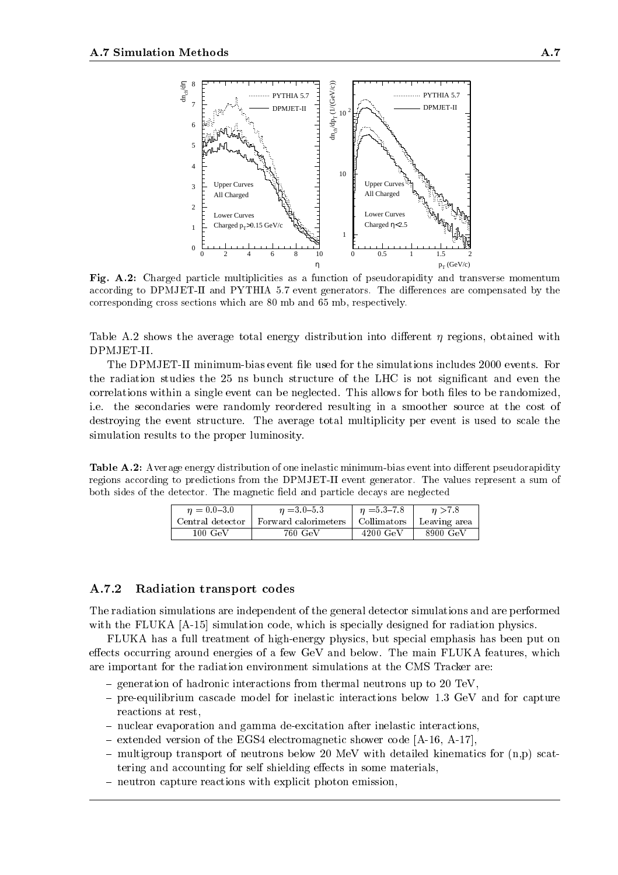

Fig. A.2: Charged particle multiplicities as a function of pseudorapidity and transverse momentum according to DPMJET-II and PYTHIA 5.7 event generators. The differences are compensated by the corresponding cross sections which are 80 mb and 65 mb, respectively.

Table A.2 shows the average total energy distribution into different  $\eta$  regions, obtained with DPMJET-II.

The DPMJET-II minimum-bias event file used for the simulations includes 2000 events. For the radiation studies the 25 ns bunch structure of the LHC is not significant and even the correlations within a single event can be neglected. This allows for both files to be randomized, i.e. the secondaries were randomly reordered resulting in a smoother source at the cost of destroying the event structure. The average total multiplicity per event is used to scale the simulation results to the proper luminosity.

Table A.2: Average energy distribution of one inelastic minimum-bias event into different pseudorapidity regions according to predictions from the DPMJET-II event generator. The values represent a sum of both sides of the detector. The magnetic field and particle decays are neglected

| $n = 0.0 - 3.0$  | $n = 3.0 - 5.3$      | $\eta = 5.3 - 7.8$  | n > 7.8      |
|------------------|----------------------|---------------------|--------------|
| Central detector | Forward calorimeters | $\Box$ Collimators  | Leaving area |
| $100~{\rm GeV}$  | 760 GeV              | $4200~\mathrm{GeV}$ | 8900 GeV     |

## A.7.2 Radiation transport codes

The radiation simulations are independent of the general detector simulations and are performed with the FLUKA [A-15] simulation code, which is specially designed for radiation physics.

FLUKA has a full treatment of high-energy physics, but special emphasis has been put on effects occurring around energies of a few GeV and below. The main FLUKA features, which are important for the radiation environment simulations at the CMS Tracker are:

- $=$  generation of hadronic interactions from thermal neutrons up to 20 TeV,
- $-$  pre-equilibrium cascade model for inelastic interactions below 1.3 GeV and for capture reactions at rest,
- { nuclear evaporation and gamma de-excitation after inelastic interactions,
- $-$  extended version of the EGS4 electromagnetic shower code  $[A-16, A-17]$ ,
- $-$  multigroup transport of neutrons below 20 MeV with detailed kinematics for  $(n,p)$  scattering and accounting for self shielding effects in some materials,
- $-$  neutron capture reactions with explicit photon emission,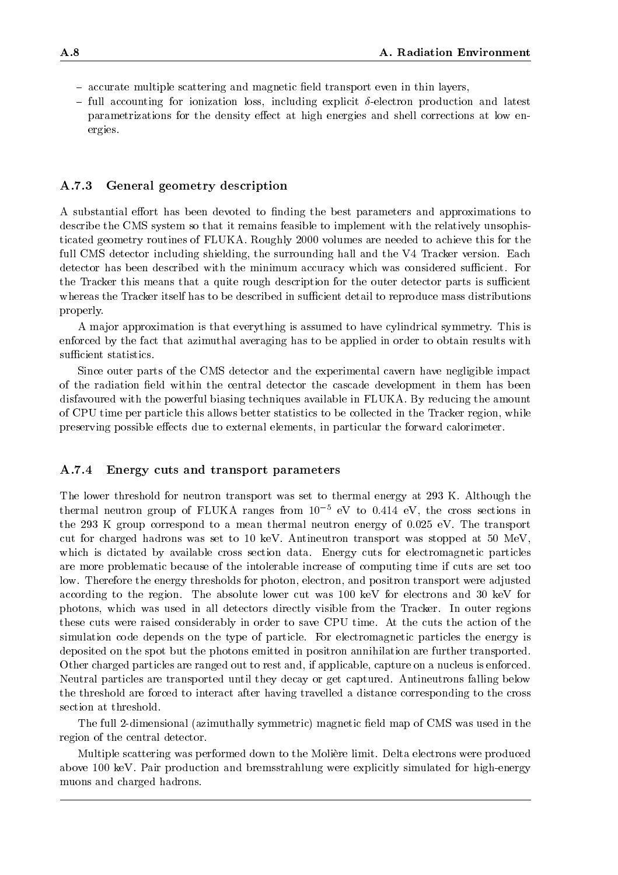- $-$  accurate multiple scattering and magnetic field transport even in thin layers,
- $-$  full accounting for ionization loss, including explicit  $\delta$ -electron production and latest parametrizations for the density effect at high energies and shell corrections at low energies.

#### A.7.3 General geometry description

A substantial effort has been devoted to finding the best parameters and approximations to describe the CMS system so that it remains feasible to implement with the relatively unsophisticated geometry routines of FLUKA. Roughly 2000 volumes are needed to achieve this for the full CMS detector including shielding, the surrounding hall and the V4 Tracker version. Each detector has been described with the minimum accuracy which was considered sufficient. For the Tracker this means that a quite rough description for the outer detector parts is sufficient whereas the Tracker itself has to be described in sufficient detail to reproduce mass distributions properly.

A ma jor approximation is that everything is assumed to have cylindrical symmetry. This is enforced by the fact that azimuthal averaging has to be applied in order to obtain results with sufficient statistics.

Since outer parts of the CMS detector and the experimental cavern have negligible impact of the radiation field within the central detector the cascade development in them has been disfavoured with the powerful biasing techniques available in FLUKA. By reducing the amount of CPU time per particle this allows better statistics to be collected in the Tracker region, while preserving possible effects due to external elements, in particular the forward calorimeter.

#### $A.7.4$ A.7.4 Energy cuts and transport parameters

The lower threshold for neutron transport was set to thermal energy at 293 K. Although the thermal neutron group of FLUKA ranges from  $10^{-5}$  eV to 0.414 eV, the cross sections in the 293 K group correspond to a mean thermal neutron energy of 0.025 eV. The transport cut for charged hadrons was set to 10 keV. Antineutron transport was stopped at50 MeV, which is dictated by available cross section data. Energy cuts for electromagnetic particles are more problematic because of the intolerable increase of computing time if cuts are set too low. Therefore the energy thresholds for photon, electron, and positron transport were adjusted according to the region. The absolute lower cut was 100 keV for electrons and 30 keV for photons, which was used in all detectors directly visible from the Tracker. In outer regions these cuts were raised considerably in order to save CPU time. At the cuts the action of the simulation code depends on the type of particle. For electromagnetic particles the energy is deposited on the spot but the photons emitted in positron annihilation are further transported. Other charged particles are ranged out to rest and, if applicable, capture on a nucleus is enforced. Neutral particles are transported until they decay or get captured. Antineutrons falling below the threshold are forced to interact after having travelled a distance corresponding to the cross section at threshold.

The full 2-dimensional (azimuthally symmetric) magnetic field map of CMS was used in the region of the central detector.

Multiple scattering was performed down to the Moliere limit. Delta electrons were produced above 100 keV. Pair production and bremsstrahlung were explicitly simulated for high-energy muons and charged hadrons.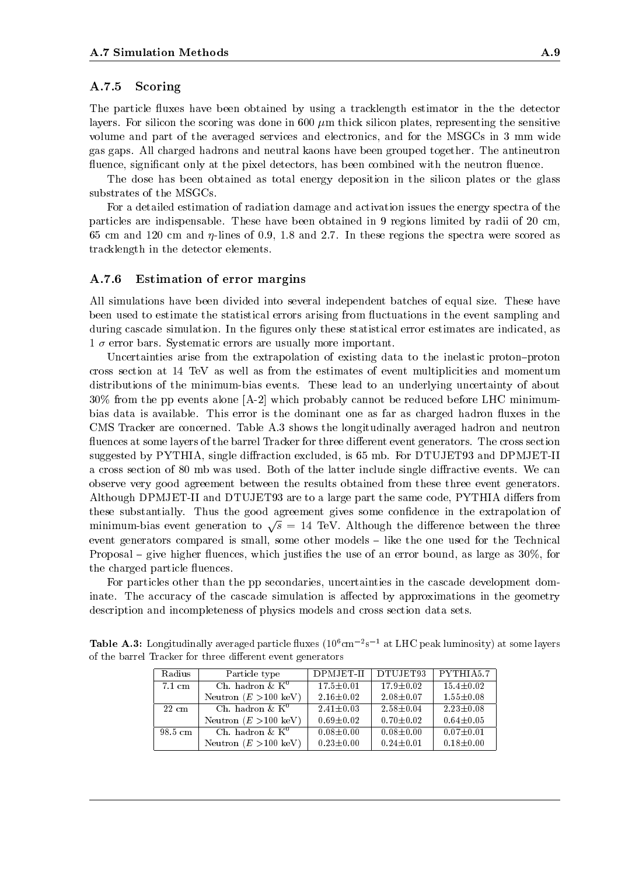### A.7.5 Scoring

The particle fluxes have been obtained by using a tracklength estimator in the the detector layers. For silicon the scoring was done in 600  $\mu$ m thick silicon plates, representing the sensitive volume and part of the averaged services and electronics, and for the MSGCs in 3 mm wide gas gaps. All charged hadrons and neutral kaons have been grouped together. The antineutron fluence, significant only at the pixel detectors, has been combined with the neutron fluence.

The dose has been obtained as total energy deposition in the silicon plates or the glass substrates of the MSGCs.

For a detailed estimation of radiation damage and activation issues the energy spectra of the particles are indispensable. These have been obtained in 9 regions limited by radii of 20 cm, 65 cm and 120 cm and  $\eta$ -lines of 0.9, 1.8 and 2.7. In these regions the spectra were scored as tracklength in the detector elements.

#### A.7.6 Estimation of error margins

All simulations have been divided into several independent batches of equal size. These have been used to estimate the statistical errors arising from fluctuations in the event sampling and during cascade simulation. In the figures only these statistical error estimates are indicated, as  $1\,\sigma$  error bars. Systematic errors are usually more important.

Uncertainties arise from the extrapolation of existing data to the inelastic proton-proton cross section at14 TeV as well as from the estimates of event multiplicities and momentum distributions of the minimum-bias events. These lead to an underlying uncertainty of about 30% from the pp events alone [A-2] which probably cannot be reduced before LHC minimumbias data is available. This error is the dominant one as far as charged hadron fluxes in the CMS Tracker are concerned. Table A.3 shows the longitudinally averaged hadron and neutron fluences at some layers of the barrel Tracker for three different event generators. The cross section suggested by PYTHIA, single diffraction excluded, is 65 mb. For DTUJET93 and DPMJET-II a cross section of 80 mb was used. Both of the latter include single diffractive events. We can observe very good agreement between the results obtained from these three event generators. Although DPMJET-II and DTUJET93 are to a large part the same code, PYTHIA differs from these substantially. Thus the good agreement gives some condence in the extrapolation of minimum-bias event generation to  $\sqrt{s} = 14$  TeV. Although the difference between the three event generators compared is small, some other models - like the one used for the Technical Proposal – give higher fluences, which justifies the use of an error bound, as large as 30%, for the charged particle fluences.

For particles other than the pp secondaries, uncertainties in the cascade development dominate. The accuracy of the cascade simulation is affected by approximations in the geometry description and incompleteness of physics models and cross section data sets.

| Radius          | Particle type                   | DPMJET-II       | DTUJET93        | PYTHIA5.7       |
|-----------------|---------------------------------|-----------------|-----------------|-----------------|
| 7.1 cm          | Ch. hadron $\&$ K <sup>0</sup>  | $17.5 \pm 0.01$ | $17.9 \pm 0.02$ | $15.4 \pm 0.02$ |
|                 | Neutron $(E > 100 \text{ keV})$ | $2.16 \pm 0.02$ | $2.08 \pm 0.07$ | $1.55 \pm 0.08$ |
| $22 \text{ cm}$ | Ch. hadron $\&$ K <sup>0</sup>  | $2.41 \pm 0.03$ | $2.58 \pm 0.04$ | $2.23 \pm 0.08$ |
|                 | Neutron $(E > 100 \text{ keV})$ | $0.69 \pm 0.02$ | $0.70 \pm 0.02$ | $0.64 \pm 0.05$ |
| 98.5 cm         | Ch. hadron & $K^0$              | $0.08 \pm 0.00$ | $0.08 \pm 0.00$ | $0.07 \pm 0.01$ |
|                 | Neutron $(E > 100 \text{ keV})$ | $0.23 \pm 0.00$ | $0.24 \pm 0.01$ | $0.18 \pm 0.00$ |

Table A.3: Longitudinally averaged particle 
uxes (106cm2 s1 at LHC peak luminosity) at some layers of the barrel Tracker for three different event generators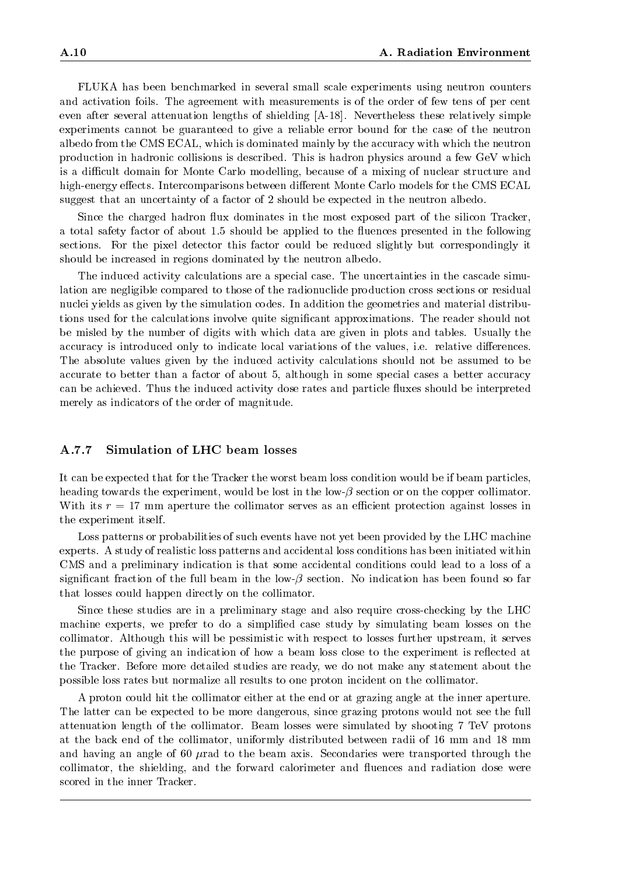FLUKA has been benchmarked in several small scale experiments using neutron counters and activation foils. The agreement with measurements is of the order of few tens of per cent even after several attenuation lengths of shielding [A-18]. Nevertheless these relatively simple experiments cannot be guaranteed to give a reliable error bound for the case of the neutron albedo from the CMS ECAL, which is dominated mainly by the accuracy with which the neutron production in hadronic collisions is described. This is hadron physics around a few GeV which is a difficult domain for Monte Carlo modelling, because of a mixing of nuclear structure and high-energy effects. Intercomparisons between different Monte Carlo models for the CMS ECAL suggest that an uncertainty of a factor of 2 should be expected in the neutron albedo.

Since the charged hadron flux dominates in the most exposed part of the silicon Tracker. a total safety factor of about 1.5 should be applied to the uences presented in the following sections. For the pixel detector this factor could be reduced slightly but correspondingly it should be increased in regions dominated by the neutron albedo.

The induced activity calculations are a special case. The uncertainties in the cascade simulation are negligible compared to those of the radionuclide production cross sections or residual nuclei yields as given by the simulation codes. In addition the geometries and material distributions used for the calculations involve quite signicant approximations. The reader should not be misled by the number of digits with which data are given in plots and tables. Usually the accuracy is introduced only to indicate local variations of the values, i.e. relative differences. The absolute values given by the induced activity calculations should not be assumed to be accurate to better than a factor of about 5, although in some special cases a better accuracy can be achieved. Thus the induced activity dose rates and particle fluxes should be interpreted merely as indicators of the order of magnitude.

#### $A.7.7$ Simulation of LHC beam losses

It can be expected that for the Tracker the worst beam loss condition would be if beam particles, heading towards the experiment, would be lost in the low- $\beta$  section or on the copper collimator. With its  $r = 17$  mm aperture the collimator serves as an efficient protection against losses in the experiment itself.

Loss patterns or probabilities of such events have not yet been provided by the LHC machine experts. A study of realistic loss patterns and accidental loss conditions has been initiated within CMS and a preliminary indication is that some accidental conditions could lead to a loss of a significant fraction of the full beam in the low- $\beta$  section. No indication has been found so far that losses could happen directly on the collimator.

Since these studies are in a preliminary stage and also require cross-checking by the LHC machine experts, we prefer to do a simplified case study by simulating beam losses on the collimator. Although this will be pessimistic with respect to losses further upstream, it serves the purpose of giving an indication of how a beam loss close to the experiment is reflected at the Tracker. Before more detailed studies are ready, we do not make any statement about the possible loss rates but normalize all results to one proton incident on the collimator.

A proton could hit the collimator either at the end or at grazing angle at the inner aperture. The latter can be expected to be more dangerous, since grazing protons would not see the full attenuation length of the collimator. Beam losses were simulated by shooting 7 TeV protons at the back end of the collimator, uniformly distributed between radii of 16 mm and18 mm and having an angle of 60  $\mu$  rad to the beam axis. Secondaries were transported through the collimator, the shielding, and the forward calorimeter and fluences and radiation dose were scored in the inner Tracker.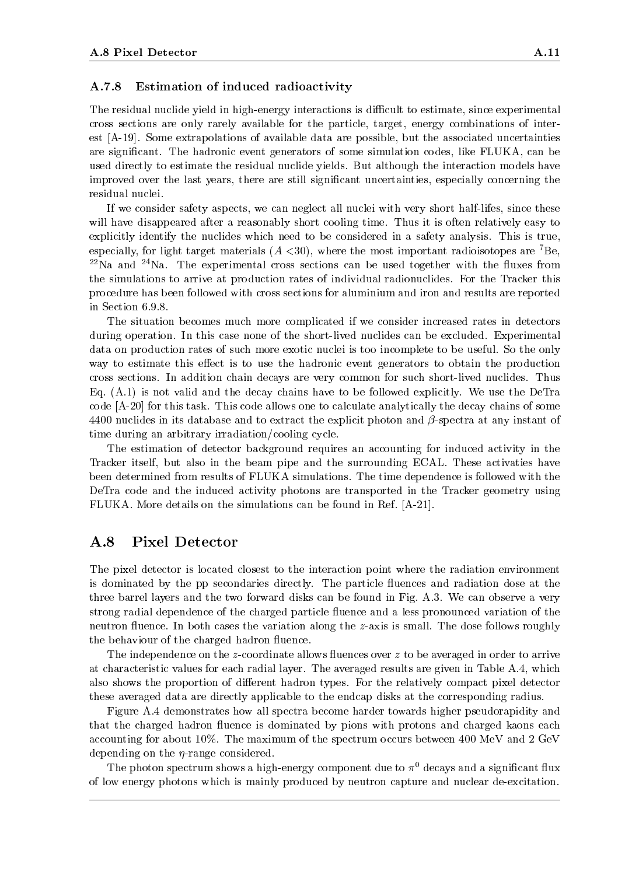### A.7.8 Estimation of induced radioactivity

The residual nuclide yield in high-energy interactions is difficult to estimate, since experimental cross sections are only rarely available for the particle, target, energy combinations of interest [A-19]. Some extrapolations of available data are possible, but the associated uncertainties are signicant. The hadronic event generators of some simulation codes, like FLUKA, can be used directly to estimate the residual nuclide yields. But although the interaction models have improved over the last years, there are still signicant uncertainties, especially concerning the residual nuclei.

If we consider safety aspects, we can neglect all nuclei with very short half-lifes, since these will have disappeared after a reasonably short cooling time. Thus it is often relatively easy to explicitly identify the nuclides which need to be considered in a safety analysis. This is true, especially, for light target materials  $(A \le 30)$ , where the most important radioisotopes are <sup>7</sup>Be,  $^{22}$ Na and  $^{24}$ Na. The experimental cross sections can be used together with the fluxes from the simulations to arrive at production rates of individual radionuclides. For the Tracker this procedure has been followed with cross sections for aluminium and iron and results are reported in Section 6.9.8.

The situation becomes much more complicated if we consider increased rates in detectors during operation. In this case none of the short-lived nuclides can be excluded. Experimental data on production rates of such more exotic nuclei is too incomplete to be useful. So the only way to estimate this effect is to use the hadronic event generators to obtain the production cross sections. In addition chain decays are very common for such short-lived nuclides. Thus Eq. (A.1) is not valid and the decay chains have to be followed explicitly. We use the DeTra code [A-20] for this task. This code allows one to calculate analytically the decay chains of some 4400 nuclides in its database and to extract the explicit photon and  $\beta$ -spectra at any instant of time during an arbitrary irradiation/cooling cycle.

The estimation of detector background requires an accounting for induced activity in the Tracker itself, but also in the beam pipe and the surrounding ECAL. These activaties have been determined from results of FLUKA simulations. The time dependence is followed with the DeTra code and the induced activity photons are transported in the Tracker geometry using FLUKA. More details on the simulations can be found in Ref. [A-21].

# A.8 Pixel Detector

The pixel detector is located closest to the interaction point where the radiation environment is dominated by the pp secondaries directly. The particle fluences and radiation dose at the three barrel layers and the two forward disks can be found in Fig. A.3. We can observe a very strong radial dependence of the charged particle fluence and a less pronounced variation of the neutron fluence. In both cases the variation along the z-axis is small. The dose follows roughly the behaviour of the charged hadron fluence.

The independence on the z-coordinate allows fluences over  $z$  to be averaged in order to arrive at characteristic values for each radial layer. The averaged results are given in Table A.4, which also shows the proportion of different hadron types. For the relatively compact pixel detector these averaged data are directly applicable to the endcap disks at the corresponding radius.

Figure A.4 demonstrates how all spectra become harder towards higher pseudorapidity and that the charged hadron fluence is dominated by pions with protons and charged kaons each accounting for about 10%. The maximum of the spectrum occurs between 400 MeV and 2 GeV depending on the  $\eta$ -range considered.

The photon spectrum shows a high-energy component due to  $\pi^0$  decays and a significant flux of low energy photons which is mainly produced by neutron capture and nuclear de-excitation.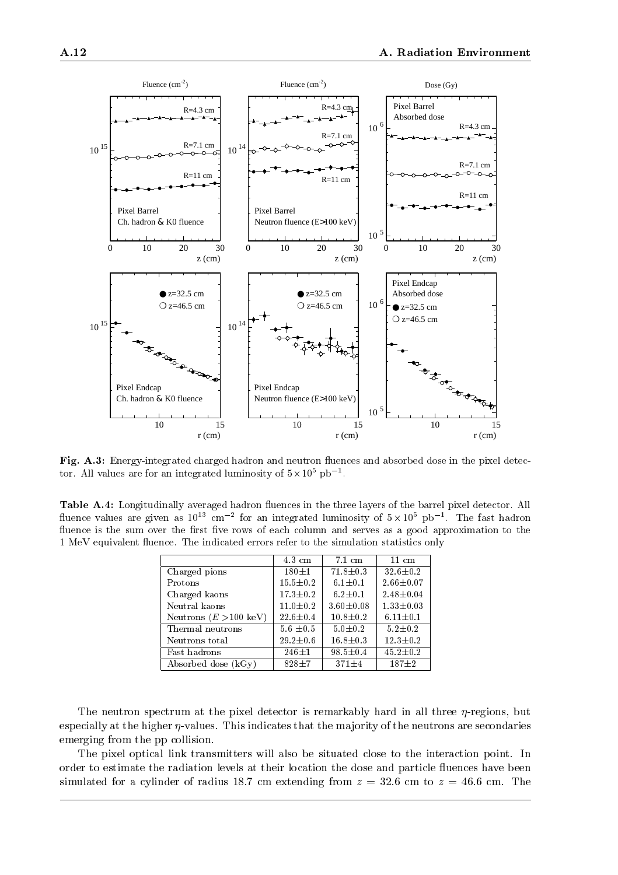

Fig. A.3: Energy-integrated charged hadron and neutron fluences and absorbed dose in the pixel detector. All values are for an integrated luminosity of  $5\times10^5$  pb  $^{-1}$ .

Table A.4: Longitudinally averaged hadron fluences in the three layers of the barrel pixel detector. All muence values are given as  $10^{15}$  cm  $^{-2}$  for an integrated luminosity of  $5\times10^{5}$  pb  $^{-1}$ . The fast hadron fluence is the sum over the first five rows of each column and serves as a good approximation to the 1 MeV equivalent fluence. The indicated errors refer to the simulation statistics only

|                                  | $4.3 \text{ cm}$ | $7.1 \text{ cm}$ | $11 \text{ cm}$ |
|----------------------------------|------------------|------------------|-----------------|
| Charged pions                    | $180 + 1$        | $71.8 \pm 0.3$   | $32.6 \pm 0.2$  |
| Protons                          | $15.5 \pm 0.2$   | $6.1 \pm 0.1$    | $2.66 \pm 0.07$ |
| Charged kaons                    | $17.3 \pm 0.2$   | $6.2 \pm 0.1$    | $2.48 \pm 0.04$ |
| Neutral kaons                    | $11.0 \pm 0.2$   | $3.60 \pm 0.08$  | $1.33 \pm 0.03$ |
| Neutrons $(E > 100 \text{ keV})$ | $22.6 \pm 0.4$   | $10.8 \pm 0.2$   | $6.11 \pm 0.1$  |
| Thermal neutrons                 | $5.6 \pm 0.5$    | $5.0 \pm 0.2$    | $5.2 \pm 0.2$   |
| Neutrons total                   | $29.2 \pm 0.6$   | $16.8 \pm 0.3$   | $12.3 \pm 0.2$  |
| Fast hadrons                     | $246 + 1$        | $98.5 \pm 0.4$   | $45.2 \pm 0.2$  |
| Absorbed dose (kGy)              | $828 + 7$        | $371 \pm 4$      | $187 + 2$       |

The neutron spectrum at the pixel detector is remarkably hard in all three  $\eta$ -regions, but especially at the higher  $\eta$ -values. This indicates that the majority of the neutrons are secondaries emerging from the pp collision.

The pixel optical link transmitters will also be situated close to the interaction point. In order to estimate the radiation levels at their location the dose and particle 
uences have been simulated for a cylinder of radius 18.7 cm extending from  $z = 32.6$  cm to  $z = 46.6$  cm. The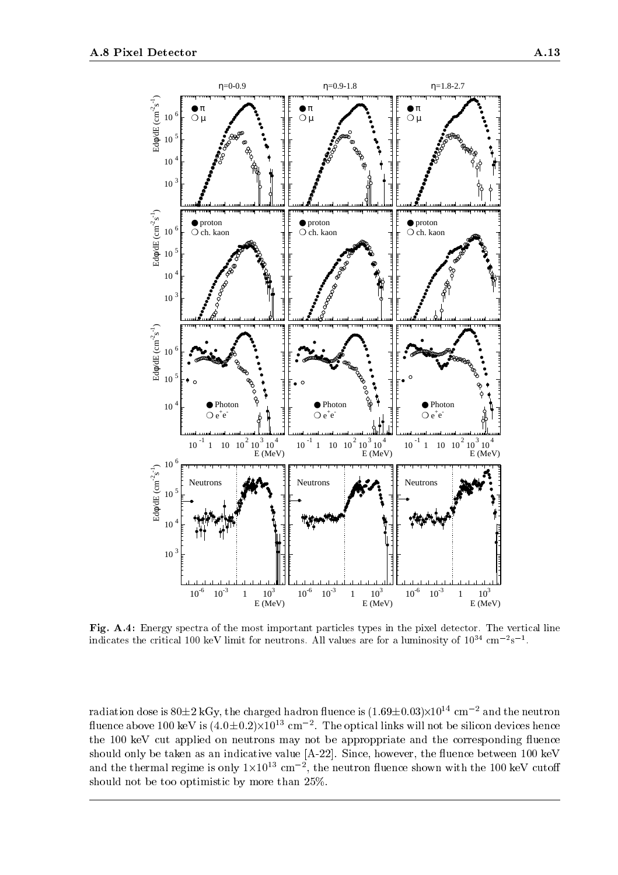

Fig. A.4: Energy spectra of the most important particles types in the pixel detector. The vertical line indicates the critical TOO keV limit for neutrons. All values are for a luminosity of TO $^{\circ}$  cm  $^{\circ}$ s  $^{\circ}$ .

radiation dose is 80±2 kGy, the charged hadron fluence is (1.69±0.03)×10^^ cm -~ and the neutron  ${\rm n}$ uence above Tuu keV is (4.0±0.2) $\times$ 10 $^{\circ}$  cm  $^{-}$ . The optical links will not be silicon devices hence the 100 keV cut applied on neutrons may not be approppriate and the corresponding fluence should only be taken as an indicative value  $[A-22]$ . Since, however, the fluence between 100 keV and the thermal regime is only  $1\times10^{12}$  cm  $^{-1}$ , the neutron fluence shown with the 100 keV cutoff should not be too optimistic by more than 25%.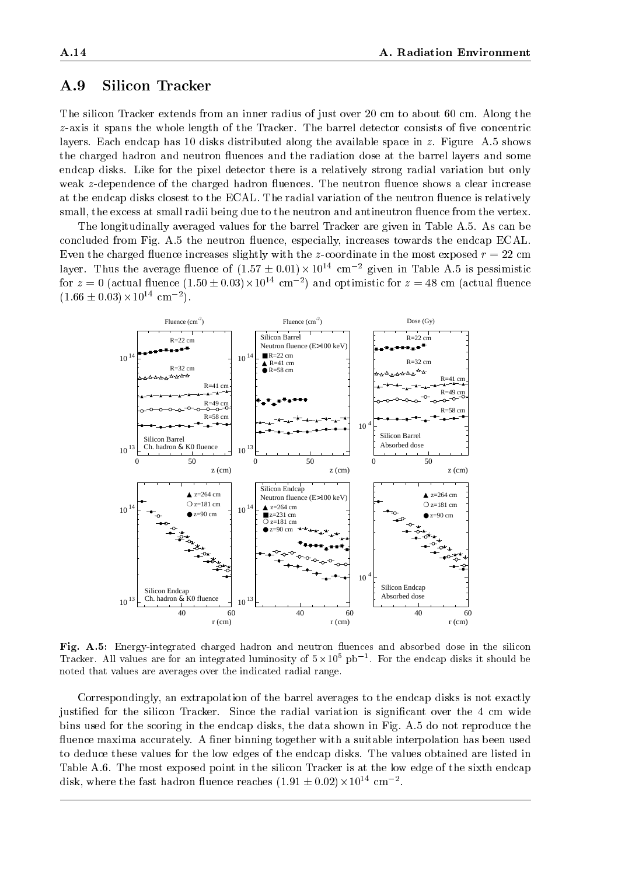# A.9 Silicon Tracker

The silicon Tracker extends from an inner radius of just over 20 cm to about 60 cm. Along the  $z$ -axis it spans the whole length of the Tracker. The barrel detector consists of five concentric layers. Each endcap has 10 disks distributed along the available space in z. Figure A.5 shows the charged hadron and neutron fluences and the radiation dose at the barrel layers and some endcap disks. Like for the pixel detector there is a relatively strong radial variation but only weak z-dependence of the charged hadron fluences. The neutron fluence shows a clear increase at the endcap disks closest to the ECAL. The radial variation of the neutron fluence is relatively small, the excess at small radii being due to the neutron and antineutron fluence from the vertex.

The longitudinally averaged values for the barrel Tracker are given in Table A.5. As can be concluded from Fig. A.5 the neutron fluence, especially, increases towards the endcap ECAL. Even the charged 
uence increases slightly with the z-coordinate in the most exposed r= 22 cm layer. Thus the average fluence of (1.57  $\pm$  0.01) $\times$  10  $^{\circ}$  cm  $^{-}$  given in Table A.5 is pessimistic for  $z = 0$  (actual fluence (1.50  $\pm$  0.03) $\times$  10<sup>2</sup> cm  $^{-2}$ ) and optimistic for  $z =$  48 cm (actual fluence  $(1.66 \pm 0.03) \times 10^{22}$  cm  $^{-2}$ ).



Fig. A.5: Energy-integrated charged hadron and neutron fluences and absorbed dose in the silicon Tracker. All values are for an integrated luminosity of 5-10<sup>5</sup> pb1 . For the endcap disks it should be noted that values are averages over the indicated radial range.

Correspondingly, an extrapolation of the barrel averages to the endcap disks is not exactly justified for the silicon Tracker. Since the radial variation is significant over the 4 cm wide bins used for the scoring in the endcap disks, the data shown in Fig. A.5 do not reproduce the fluence maxima accurately. A finer binning together with a suitable interpolation has been used to deduce these values for the low edges of the endcap disks. The values obtained are listed in Table A.6. The most exposed point in the silicon Tracker is at the low edge of the sixth endcap disk, where the fast hadron fluence reaches  $(1.91 \pm 0.02) \times 10^{22}$  cm  $^{-2}$ .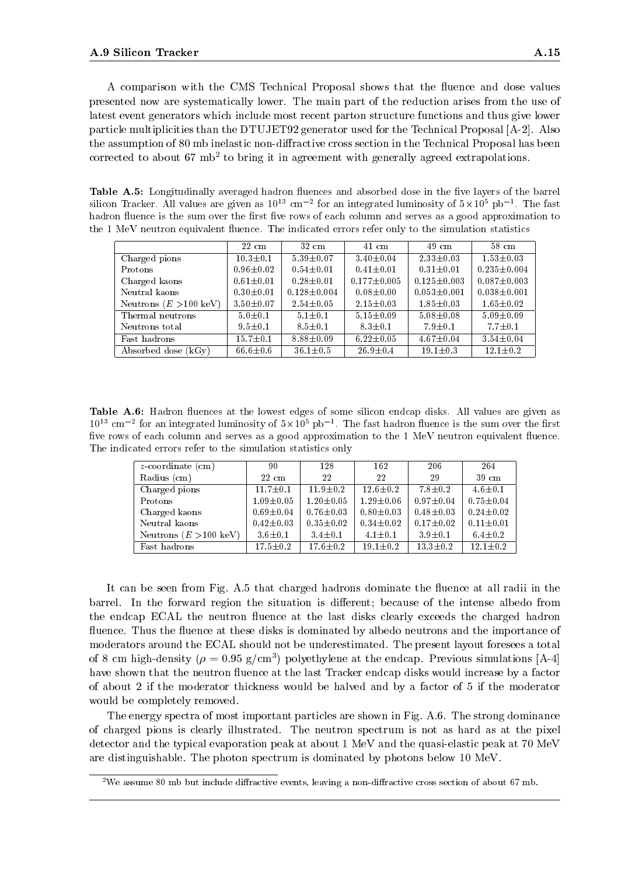A comparison with the CMS Technical Proposal shows that the fluence and dose values presented now are systematically lower. The main part of the reduction arises from the use of latest event generators which include most recent parton structure functions and thus give lower particle multiplicities than the DTUJET92 generator used for the Technical Proposal [A-2]. Also the assumption of 80 mb inelastic non-diffractive cross section in the Technical Proposal has been corrected to about 67 mb<sup>2</sup> to bring it in agreement with generally agreed extrapolations.

Table A.5: Longitudinally averaged hadron fluences and absorbed dose in the five layers of the barrel silicon fracker. All values are given as  $10^{19}$  cm  $\,$  for an integrated luminosity of  $5\times10^{9}$  pp  $^{+}.$  The fast hadron fluence is the sum over the first five rows of each column and serves as a good approximation to the 1 MeV neutron equivalent fluence. The indicated errors refer only to the simulation statistics

|                                  | $22\,$ cm       | $32 \text{ cm}$   | $41 \text{ cm}$   | $49 \text{ cm}$   | $58 \text{ cm}$   |
|----------------------------------|-----------------|-------------------|-------------------|-------------------|-------------------|
| Charged pions                    | $10.3 \pm 0.1$  | $5.39 \pm 0.07$   | $3.40 \pm 0.04$   | $2.33 \pm 0.03$   | $1.53 \pm 0.03$   |
| Protons                          | $0.96 \pm 0.02$ | $0.54 \pm 0.01$   | $0.41 \pm 0.01$   | $0.31 \pm 0.01$   | $0.235 \pm 0.004$ |
| Charged kaons                    | $0.61 \pm 0.01$ | $0.28 \pm 0.01$   | $0.177 \pm 0.005$ | $0.125 \pm 0.003$ | $0.087 \pm 0.003$ |
| Neutral kaons                    | $0.30 \pm 0.01$ | $0.128 \pm 0.004$ | $0.08 \pm 0.00$   | $0.053 \pm 0.001$ | $0.038 \pm 0.001$ |
| Neutrons $(E > 100 \text{ keV})$ | $3.50 \pm 0.07$ | $2.54 \pm 0.05$   | $2.15 \pm 0.03$   | $1.85 \pm 0.03$   | $1.65 \pm 0.02$   |
| Thermal neutrons                 | $5.0 \pm 0.1$   | $5.1 \pm 0.1$     | $5.15 \pm 0.09$   | $5.08 \pm 0.08$   | $5.09 \pm 0.09$   |
| Neutrons total                   | $9.5 \pm 0.1$   | $8.5 \pm 0.1$     | $8.3 \pm 0.1$     | $7.9 \pm 0.1$     | $7.7 \pm 0.1$     |
| Fast hadrons                     | $15.7 \pm 0.1$  | $8.88 \pm 0.09$   | $6.22 \pm 0.05$   | $4.67 \pm 0.04$   | $3.54 \pm 0.04$   |
| Absorbed dose $(kGy)$            | $66.6 \pm 0.6$  | $36.1 \pm 0.5$    | $26.9 \pm 0.4$    | $19.1 \pm 0.3$    | $12.1 \pm 0.2$    |

Table A.6: Hadron fluences at the lowest edges of some silicon endcap disks. All values are given as TU  $\sim$  cm  $^{-}$  for an integrated luminosity of 5  $\times$  10° pp  $^{-}$  . The fast hadron fluence is the sum over the first five rows of each column and serves as a good approximation to the 1 MeV neutron equivalent fluence. The indicated errors refer to the simulation statistics only

| $z$ -coordinate (cm)             | 90              | 128             | 162             | 206             | 264             |
|----------------------------------|-----------------|-----------------|-----------------|-----------------|-----------------|
| Radius (cm)                      | $22 \text{ cm}$ | 22              | 22              | -29             | $39 \text{ cm}$ |
| Charged pions                    | $11.7 \pm 0.1$  | $11.9 \pm 0.2$  | $12.6 \pm 0.2$  | $7.8 \pm 0.2$   | $4.6 \pm 0.1$   |
| Protons                          | $1.09 \pm 0.05$ | $1.20 \pm 0.05$ | $1.29 \pm 0.06$ | $0.97 \pm 0.04$ | $0.75 \pm 0.04$ |
| Charged kaons                    | $0.69 \pm 0.04$ | $0.76 \pm 0.03$ | $0.80 \pm 0.03$ | $0.48 \pm 0.03$ | $0.24 \pm 0.02$ |
| Neutral kaons                    | $0.42 \pm 0.03$ | $0.35 \pm 0.02$ | $0.34 \pm 0.02$ | $0.17 \pm 0.02$ | $0.11 \pm 0.01$ |
| Neutrons $(E > 100 \text{ keV})$ | $3.6 \pm 0.1$   | $3.4 \pm 0.1$   | $4.1 \pm 0.1$   | $3.9 \pm 0.1$   | $6.4 \pm 0.2$   |
| Fast hadrons                     | $17.5 \pm 0.2$  | $17.6 \pm 0.2$  | $19.1 \pm 0.2$  | $13.3 \pm 0.2$  | $12.1 \pm 0.2$  |

It can be seen from Fig. A.5 that charged hadrons dominate the fluence at all radii in the barrel. In the forward region the situation is different; because of the intense albedo from the endcap ECAL the neutron fluence at the last disks clearly exceeds the charged hadron fluence. Thus the fluence at these disks is dominated by albedo neutrons and the importance of moderators around the ECAL should not be underestimated. The present layout foresees a total of 8 cm high-density ( $\rho = 0.95$  g/cm ) polyethylene at the endcap. Previous simulations  $\rm [A-4]$ have shown that the neutron fluence at the last Tracker endcap disks would increase by a factor of about 2 if the moderator thickness would be halved and by a factor of 5 if the moderator would be completely removed.

The energy spectra of most important particles are shown in Fig. A.6. The strong dominance of charged pions is clearly illustrated. The neutron spectrum is not as hard as at the pixel detector and the typical evaporation peak at about 1 MeV and the quasi-elastic peak at 70 MeV are distinguishable. The photon spectrum is dominated by photons below 10 MeV.

<sup>&</sup>lt;sup>2</sup>We assume 80 mb but include diffractive events, leaving a non-diffractive cross section of about 67 mb.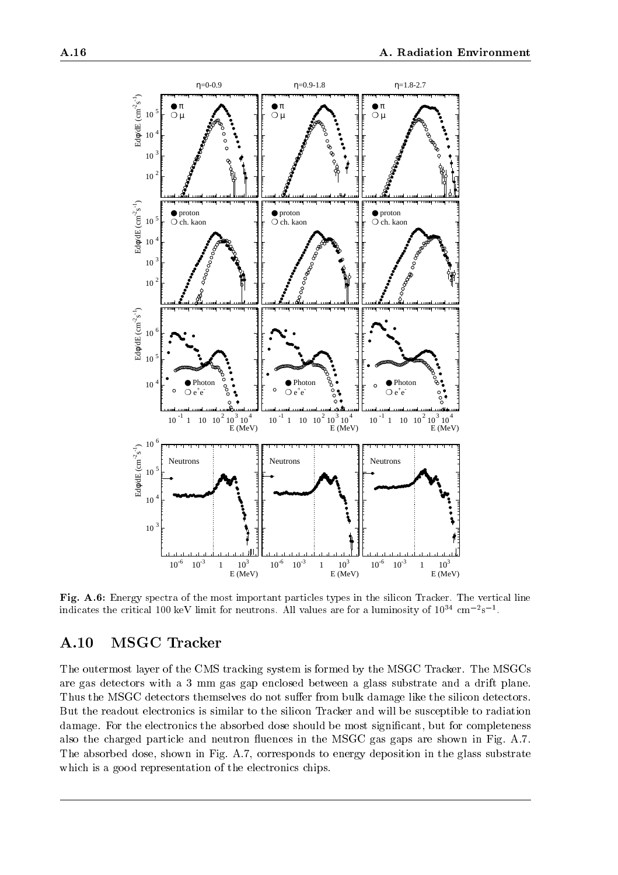

Fig. A.6: Energy spectra of the most important particles types in the silicon Tracker. The vertical line indicates the critical TUU keV limit for neutrons. All values are for a luminosity of TU $^\circ$  cm  $^{-s}$ s  $^+$ .

# A.10 MSGC Tracker

The outermost layer of the CMS tracking system is formed by the MSGC Tracker. The MSGCs are gas detectors with a 3 mm gas gap enclosed between a glass substrate and a drift plane. Thus the MSGC detectors themselves do not suffer from bulk damage like the silicon detectors. But the readout electronics is similar to the silicon Tracker and will be susceptible to radiation damage. For the electronics the absorbed dose should be most significant, but for completeness also the charged particle and neutron fluences in the MSGC gas gaps are shown in Fig. A.7. The absorbed dose, shown in Fig. A.7, corresponds to energy deposition in the glass substrate which is a good representation of the electronics chips.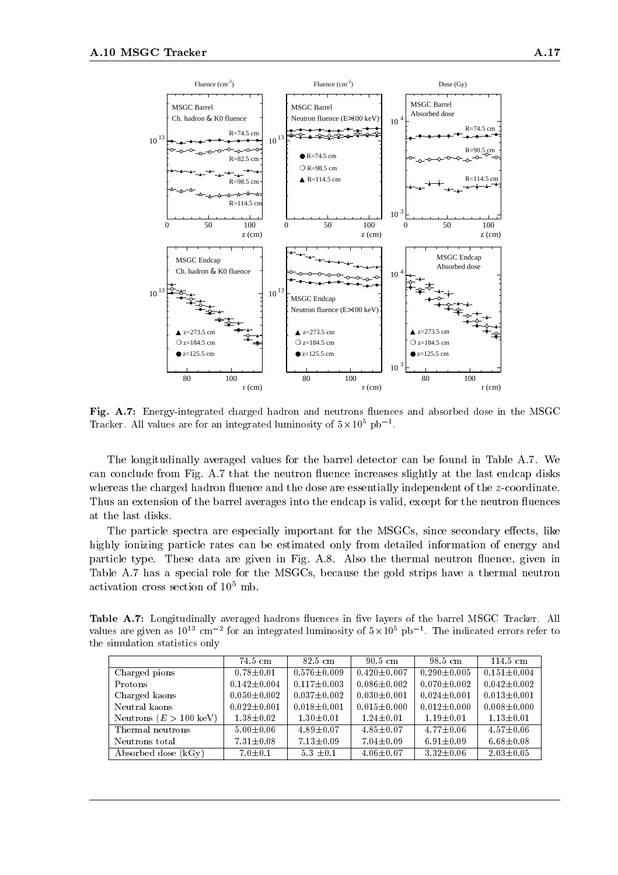

Fig. A.7: Energy-integrated charged hadron and neutrons fluences and absorbed dose in the MSGC Tracker. All values are for an integrated luminosity of  $5\times10^{8}$  pb<sup>-1</sup>.

The longitudinally averaged values for the barrel detector can be found in Table A.7. We can conclude from Fig. A.7 that the neutron fluence increases slightly at the last endcap disks whereas the charged hadron fluence and the dose are essentially independent of the z-coordinate. Thus an extension of the barrel averages into the endcap is valid, except for the neutron fluences at the last disks.

The particle spectra are especially important for the MSGCs, since secondary effects, like highly ionizing particle rates can be estimated only from detailed information of energy and particle type. These data are given in Fig. A.8. Also the thermal neutron fluence, given in Table A.7 has a special role for the MSGCs, because the gold strips have a thermal neutron activation cross section of  $10^5$  mb.

Table A.7: Longitudinally averaged hadrons fluences in five layers of the barrel MSGC Tracker. All values are given as  $10^{15}$  cm  $^{-2}$  for an integrated luminosity of 5 $\times$  10° pb  $^{-1}$ . The indicated errors refer to the simulation statistics only

|                                  | $74.5 \text{ cm}$ | $82.5 \text{ cm}$ | $90.5 \text{ cm}$ | $98.5 \text{ cm}$ | $114.5 \text{ cm}$ |
|----------------------------------|-------------------|-------------------|-------------------|-------------------|--------------------|
| Charged pions                    | $0.78 \pm 0.01$   | $0.576 \pm 0.009$ | $0.420 \pm 0.007$ | $0.290 \pm 0.005$ | $0.151 \pm 0.004$  |
| Protons                          | $0.142 \pm 0.004$ | $0.117 \pm 0.003$ | $0.086 \pm 0.002$ | $0.070 \pm 0.002$ | $0.042 \pm 0.002$  |
| Charged kaons                    | $0.050 \pm 0.002$ | $0.037 \pm 0.002$ | $0.030 \pm 0.001$ | $0.024 \pm 0.001$ | $0.013 \pm 0.001$  |
| Neutral kaons                    | $0.022 \pm 0.001$ | $0.018 \pm 0.001$ | $0.015 \pm 0.000$ | $0.012 \pm 0.000$ | $0.008 \pm 0.000$  |
| Neutrons $(E > 100 \text{ keV})$ | $1.38 \pm 0.02$   | $1.30 \pm 0.01$   | $1.24 \pm 0.01$   | $1.19 \pm 0.01$   | $1.13 \pm 0.01$    |
| Thermal neutrons                 | $5.00 \pm 0.06$   | $4.89 \pm 0.07$   | $4.85 \pm 0.07$   | $4.77 \pm 0.06$   | $4.57 \pm 0.06$    |
| Neutrons total                   | $7.31 \pm 0.08$   | $7.13 \pm 0.09$   | $7.04 \pm 0.09$   | $6.91 \pm 0.09$   | $6.68 \pm 0.08$    |
| Absorbed dose $(kGy)$            | $7.0 \pm 0.1$     | $5.3 \pm 0.1$     | $4.06 \pm 0.07$   | $3.32 \pm 0.06$   | $2.03 \pm 0.05$    |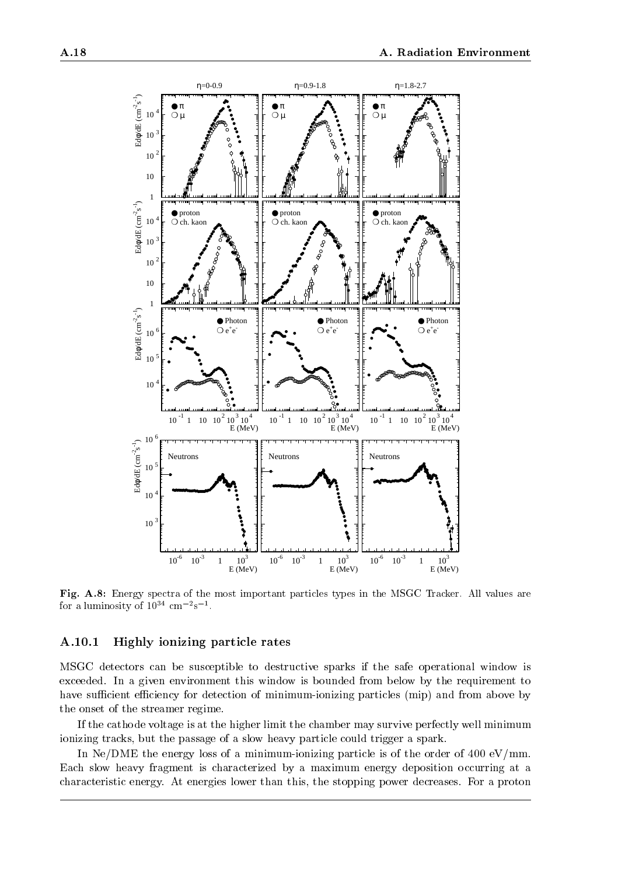

Fig. A.8: Energy spectra of the most important particles types in the MSGC Tracker. All values are for a luminosity of  $10^{\circ}$  cm  $^{-}$ s  $^{-}$ .

## A.10.1 Highly ionizing particle rates

MSGC detectors can be susceptible to destructive sparks if the safe operational window is exceeded. In a given environment this window is bounded from below by the requirement to have sufficient efficiency for detection of minimum-ionizing particles (mip) and from above by the onset of the streamer regime.

If the cathode voltage is at the higher limit the chamber may survive perfectly well minimum ionizing tracks, but the passage of a slow heavy particle could trigger a spark.

In Ne/DME the energy loss of a minimum-ionizing particle is of the order of  $400 \text{ eV/mm}$ . Each slow heavy fragment is characterized by a maximum energy deposition occurring at a characteristic energy. At energies lower than this, the stopping power decreases. For a proton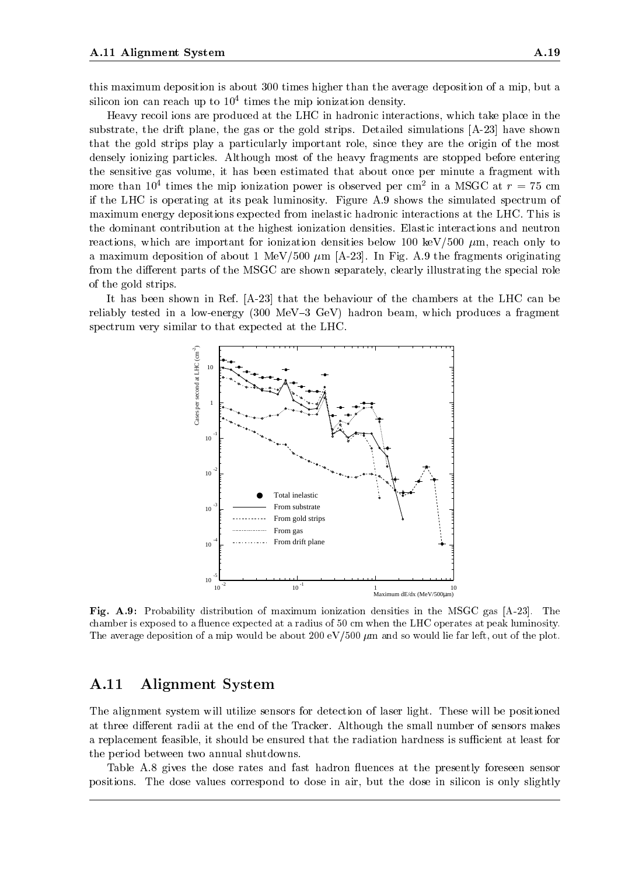this maximum deposition is about 300 times higher than the average deposition of a mip, but a silicon ion can reach up to 104 times the mip ionization density.

Heavy recoil ions are produced at the LHC in hadronic interactions, which take place in the substrate, the drift plane, the gas or the gold strips. Detailed simulations [A-23] have shown that the gold strips play a particularly important role, since they are the origin of the most densely ionizing particles. Although most of the heavy fragments are stopped before entering the sensitive gas volume, it has been estimated that about once per minute a fragment with more than 10<sup>-</sup> times the mip ionization power is observed per cm<sup>2</sup> in a MSGC at  $r = 75$  cm if the LHC is operating at its peak luminosity. Figure A.9 shows the simulated spectrum of maximum energy depositions expected from inelastic hadronic interactions at the LHC. This is the dominant contribution at the highest ionization densities. Elastic interactions and neutron reactions, which are important for ionization densities below 100 keV/500  $\mu$ m, reach only to a maximum deposition of about 1 MeV/500  $\mu$ m [A-23]. In Fig. A.9 the fragments originating from the different parts of the MSGC are shown separately, clearly illustrating the special role of the gold strips.

It has been shown in Ref. [A-23] that the behaviour of the chambers at the LHC can be reliably tested in a low-energy (300 MeV-3 GeV) hadron beam, which produces a fragment spectrum very similar to that expected at the LHC.



Fig. A.9: Probability distribution of maximum ionization densities in the MSGC gas [A-23]. The chamber is exposed to a fluence expected at a radius of 50 cm when the LHC operates at peak luminosity. The average deposition of a mip would be about 200 eV/500  $\mu$ m and so would lie far left, out of the plot.

## A.11 Alignment System

The alignment system will utilize sensors for detection of laser light. These will be positioned at three different radii at the end of the Tracker. Although the small number of sensors makes a replacement feasible, it should be ensured that the radiation hardness is sufficient at least for the period between two annual shutdowns.

Table A.8 gives the dose rates and fast hadron fluences at the presently foreseen sensor positions. The dose values correspond to dose in air, but the dose in silicon is only slightly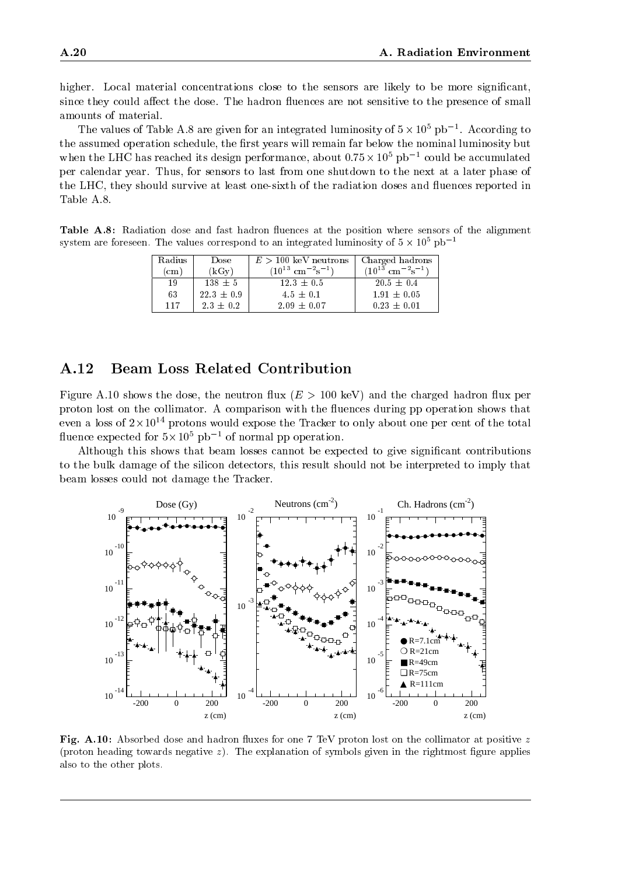higher. Local material concentrations close to the sensors are likely to be more significant, since they could affect the dose. The hadron fluences are not sensitive to the presence of small amounts of material.

The values of Table A.8 are given for an integrated luminosity of  $5\times10^\circ$  pb  $^{-1}$ . According to the assumed operation schedule, the first years will remain far below the nominal luminosity but when the LHC has reached its design performance, about  $0.75 \times 10^{\circ}$  pb  $^{-1}$  could be accumulated per calendar year. Thus, for sensors to last from one shutdown to the next at a later phase of the LHC, they should survive at least one-sixth of the radiation doses and 
uences reported in Table A.8.

Table A.8: Radiation dose and fast hadron fluences at the position where sensors of the alignment system are foreseen. The values correspond to an integrated luminosity of 5  $\times$  10° pb  $^{-1}$ 

| Radius        | Dose           | $E > 100$ keV neutrons                    | Charged hadrons                           |  |
|---------------|----------------|-------------------------------------------|-------------------------------------------|--|
| $\mathbf{cm}$ | (kGv)          | $(10^{13} \text{ cm}^{-2} \text{s}^{-1})$ | $(10^{13} \text{ cm}^{-2} \text{s}^{-1})$ |  |
| 19            | $138 \pm 5$    | $12.3 \pm 0.5$                            | $20.5 \pm 0.4$                            |  |
| 63            | $22.3 \pm 0.9$ | $4.5 \pm 0.1$                             | $1.91 \pm 0.05$                           |  |
| 117           | $2.3 \pm 0.2$  | $2.09 \pm 0.07$                           | $0.23 \pm 0.01$                           |  |

# A.12 Beam Loss Related Contribution

Figure A.10 shows the dose, the neutron flux ( $E > 100 \text{ keV}$ ) and the charged hadron flux per proton lost on the collimator. A comparison with the fluences during pp operation shows that even a loss of 2 x 10 f protons would expose the Tracker to only about one per cent of the total nuence expected for  $5\times10^\circ$  pb  $^{-}$  of normal pp operation.

Although this shows that beam losses cannot be expected to give signicant contributions to the bulk damage of the silicon detectors, this result should not be interpreted to imply that beam losses could not damage the Tracker.



Fig. A.10: Absorbed dose and hadron fluxes for one 7 TeV proton lost on the collimator at positive  $z$ (proton heading towards negative  $z$ ). The explanation of symbols given in the rightmost figure applies also to the other plots.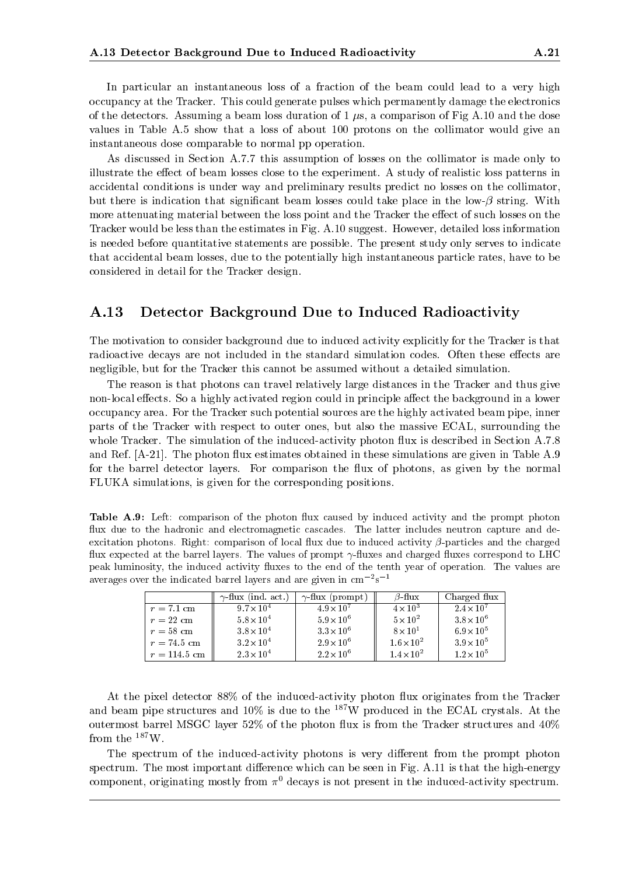In particular an instantaneous loss of a fraction of the beam could lead to a very high occupancy at the Tracker. This could generate pulses which permanently damage the electronics of the detectors. Assuming a beam loss duration of  $1 \mu s$ , a comparison of Fig A.10 and the dose values in Table A.5 show that a loss of about 100 protons on the collimator would give an instantaneous dose comparable to normal pp operation.

As discussed in Section A.7.7 this assumption of losses on the collimator is made only to illustrate the effect of beam losses close to the experiment. A study of realistic loss patterns in accidental conditions is under way and preliminary results predict no losses on the collimator, but there is indication that significant beam losses could take place in the low- $\beta$  string. With more attenuating material between the loss point and the Tracker the effect of such losses on the Tracker would be less than the estimates in Fig. A.10 suggest. However, detailed loss information is needed before quantitative statements are possible. The present study only serves to indicate that accidental beam losses, due to the potentially high instantaneous particle rates, have to be considered in detail for the Tracker design.

# A.13 Detector Background Due to Induced Radioactivity

The motivation to consider background due to induced activity explicitly for the Tracker is that radioactive decays are not included in the standard simulation codes. Often these effects are negligible, but for the Tracker this cannot be assumed without a detailed simulation.

The reason is that photons can travel relatively large distances in the Tracker and thus give non-local effects. So a highly activated region could in principle affect the background in a lower occupancy area. For the Tracker such potential sources are the highly activated beam pipe, inner parts of the Tracker with respect to outer ones, but also the massive ECAL, surrounding the whole Tracker. The simulation of the induced-activity photon flux is described in Section A.7.8 and Ref. [A-21]. The photon flux estimates obtained in these simulations are given in Table A.9 for the barrel detector layers. For comparison the flux of photons, as given by the normal FLUKA simulations, is given for the corresponding positions.

Table A.9: Left: comparison of the photon flux caused by induced activity and the prompt photon flux due to the hadronic and electromagnetic cascades. The latter includes neutron capture and deexcitation photons. Right: comparison of local flux due to induced activity  $\beta$ -particles and the charged flux expected at the barrel layers. The values of prompt  $\gamma$ -fluxes and charged fluxes correspond to LHC peak luminosity, the induced activity fluxes to the end of the tenth year of operation. The values are averages over the indicated barrel layers and are given in cm  $\sim$ s  $\sim$ 

|                | $\gamma$ -flux (ind. act.) | $\gamma$ -flux (prompt) | $\beta$ -flux       | Charged flux        |
|----------------|----------------------------|-------------------------|---------------------|---------------------|
| $r = 7.1$ cm   | $9.7 \times 10^{4}$        | $4.9 \times 10^{7}$     | $4 \times 10^3$     | $2.4 \times 10^{7}$ |
| $r = 22$ cm    | $5.8 \times 10^{4}$        | $5.9 \times 10^{6}$     | $5 \times 10^2$     | $3.8 \times 10^6$   |
| $r = 58$ cm    | $3.8\times10^{4}$          | $3.3 \times 10^{6}$     | $8 \times 10^{1}$   | $6.9 \times 10^{5}$ |
| $r = 74.5$ cm  | $3.2 \times 10^{4}$        | $2.9 \times 10^{6}$     | $1.6 \times 10^{2}$ | $3.9 \times 10^{5}$ |
| $r = 114.5$ cm | $2.3 \times 10^{4}$        | $2.2 \times 10^{6}$     | $1.4 \times 10^{2}$ | $1.2 \times 10^{5}$ |

At the pixel detector 88% of the induced-activity photon flux originates from the Tracker and beam pipe structures and  $10\%$  is due to the  $^{187}$ W produced in the ECAL crystals. At the outermost barrel MSGC layer  $52\%$  of the photon flux is from the Tracker structures and  $40\%$ from the 187W.

The spectrum of the induced-activity photons is very different from the prompt photon spectrum. The most important difference which can be seen in Fig. A.11 is that the high-energy component, originating mostly from  $\pi^0$  decays is not present in the induced-activity spectrum.